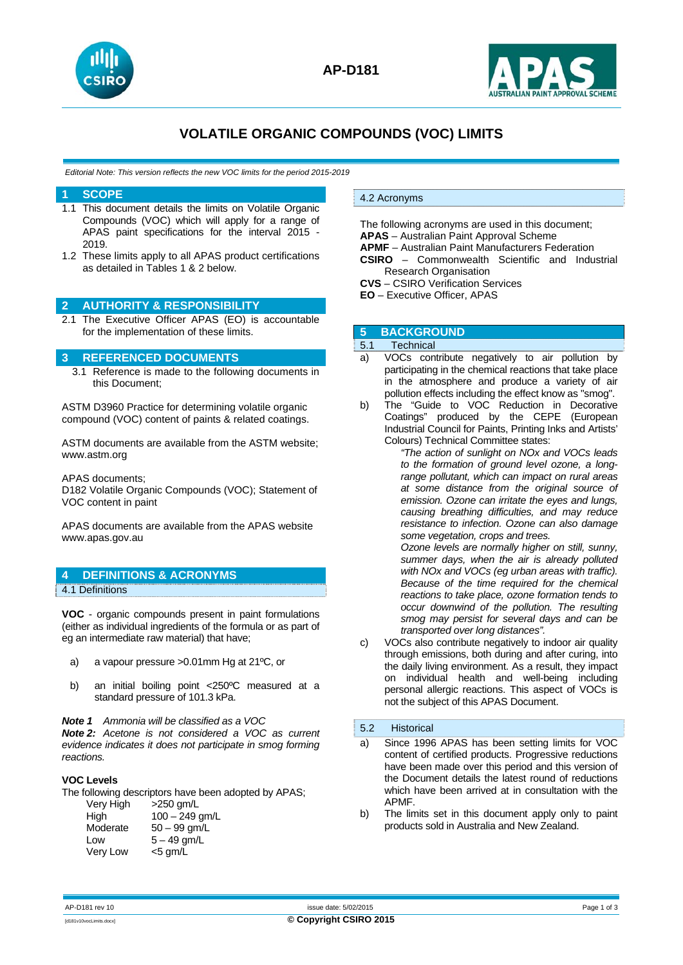



# **VOLATILE ORGANIC COMPOUNDS (VOC) LIMITS**

*Editorial Note: This version reflects the new VOC limits for the period 2015-2019*

### **1 SCOPE**

- 1.1 This document details the limits on Volatile Organic Compounds (VOC) which will apply for a range of APAS paint specifications for the interval 2015 - 2019.
- 1.2 These limits apply to all APAS product certifications as detailed in Tables 1 & 2 below.

### **2 AUTHORITY & RESPONSIBILITY**

2.1 The Executive Officer APAS (EO) is accountable for the implementation of these limits.

## **3 REFERENCED DOCUMENTS**

3.1 Reference is made to the following documents in this Document;

ASTM D3960 Practice for determining volatile organic compound (VOC) content of paints & related coatings.

ASTM documents are available from the ASTM website; www.astm.org

APAS documents;

D182 Volatile Organic Compounds (VOC); Statement of VOC content in paint

APAS documents are available from the APAS website www.apas.gov.au

# **4 DEFINITIONS & ACRONYMS**

4.1 Definitions

**VOC** - organic compounds present in paint formulations (either as individual ingredients of the formula or as part of eg an intermediate raw material) that have;

- a) a vapour pressure >0.01mm Hg at 21ºC, or
- b) an initial boiling point <250ºC measured at a standard pressure of 101.3 kPa.

*Note 1 Ammonia will be classified as a VOC* 

*Note 2: Acetone is not considered a VOC as current evidence indicates it does not participate in smog forming reactions.* 

## **VOC Levels**

The following descriptors have been adopted by APAS;

| Very High | $>250$ gm/L      |
|-----------|------------------|
| High      | $100 - 249$ gm/L |
| Moderate  | $50 - 99$ gm/L   |
| Low       | $5 - 49$ gm/L    |
| Very Low  | $<$ 5 gm/L       |
|           |                  |

#### 4.2 Acronyms

The following acronyms are used in this document; **APAS** – Australian Paint Approval Scheme **APMF** – Australian Paint Manufacturers Federation **CSIRO** – Commonwealth Scientific and Industrial Research Organisation

**CVS** – CSIRO Verification Services

**EO** – Executive Officer, APAS

## **5 BACKGROUND**

## 5.1 Technical

- a) VOCs contribute negatively to air pollution by participating in the chemical reactions that take place in the atmosphere and produce a variety of air pollution effects including the effect know as "smog".
- b) The "Guide to VOC Reduction in Decorative Coatings" produced by the CEPE (European Industrial Council for Paints, Printing Inks and Artists' Colours) Technical Committee states:

*"The action of sunlight on NOx and VOCs leads to the formation of ground level ozone, a longrange pollutant, which can impact on rural areas at some distance from the original source of emission. Ozone can irritate the eyes and lungs, causing breathing difficulties, and may reduce resistance to infection. Ozone can also damage some vegetation, crops and trees. Ozone levels are normally higher on still, sunny,* 

*summer days, when the air is already polluted with NOx and VOCs (eg urban areas with traffic). Because of the time required for the chemical reactions to take place, ozone formation tends to occur downwind of the pollution. The resulting smog may persist for several days and can be transported over long distances".* 

c) VOCs also contribute negatively to indoor air quality through emissions, both during and after curing, into the daily living environment. As a result, they impact on individual health and well-being including personal allergic reactions. This aspect of VOCs is not the subject of this APAS Document.

### 5.2 Historical

- a) Since 1996 APAS has been setting limits for VOC content of certified products. Progressive reductions have been made over this period and this version of the Document details the latest round of reductions which have been arrived at in consultation with the APMF.
- b) The limits set in this document apply only to paint products sold in Australia and New Zealand.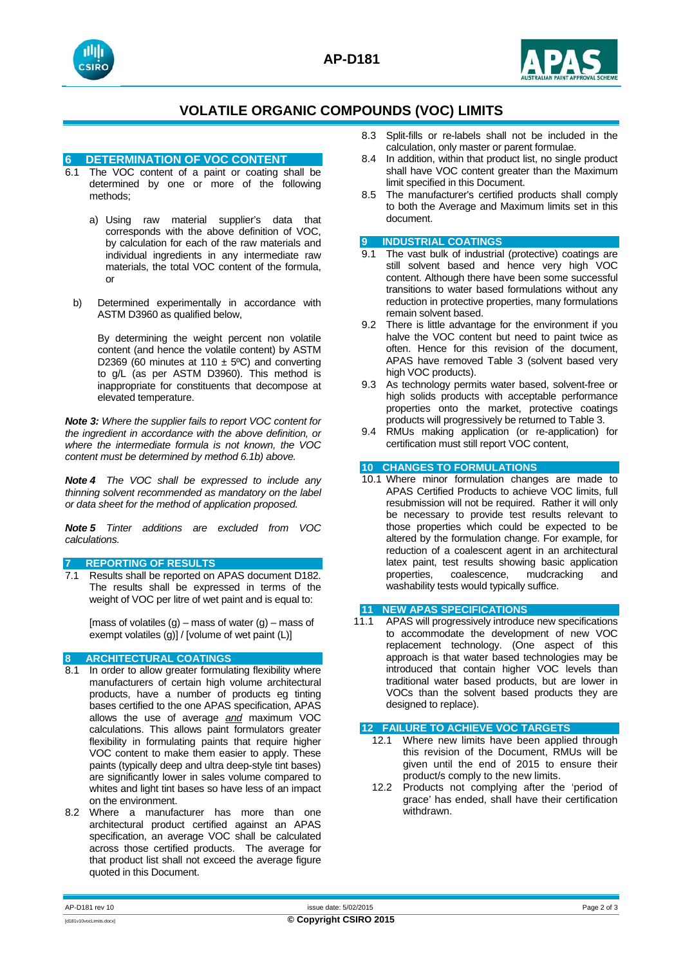



## **VOLATILE ORGANIC COMPOUNDS (VOC) LIMITS**

#### **6 DETERMINATION OF VOC CONTENT**

- 6.1 The VOC content of a paint or coating shall be determined by one or more of the following methods;
	- a) Using raw material supplier's data that corresponds with the above definition of VOC, by calculation for each of the raw materials and individual ingredients in any intermediate raw materials, the total VOC content of the formula, or
- b) Determined experimentally in accordance with ASTM D3960 as qualified below,

By determining the weight percent non volatile content (and hence the volatile content) by ASTM D2369 (60 minutes at 110  $\pm$  5°C) and converting to g/L (as per ASTM D3960). This method is inappropriate for constituents that decompose at elevated temperature.

*Note 3: Where the supplier fails to report VOC content for the ingredient in accordance with the above definition, or where the intermediate formula is not known, the VOC content must be determined by method 6.1b) above.* 

*Note 4 The VOC shall be expressed to include any thinning solvent recommended as mandatory on the label or data sheet for the method of application proposed.* 

*Note 5 Tinter additions are excluded from VOC calculations.* 

#### **7 REPORTING OF RESULTS**

7.1 Results shall be reported on APAS document D182. The results shall be expressed in terms of the weight of VOC per litre of wet paint and is equal to:

[mass of volatiles  $(g)$  – mass of water  $(g)$  – mass of exempt volatiles  $(g)$ ] / [volume of wet paint (L)]

### **8 ARCHITECTURAL COATINGS**

- 8.1 In order to allow greater formulating flexibility where manufacturers of certain high volume architectural products, have a number of products eg tinting bases certified to the one APAS specification, APAS allows the use of average *and* maximum VOC calculations. This allows paint formulators greater flexibility in formulating paints that require higher VOC content to make them easier to apply. These paints (typically deep and ultra deep-style tint bases) are significantly lower in sales volume compared to whites and light tint bases so have less of an impact on the environment.
- 8.2 Where a manufacturer has more than one architectural product certified against an APAS specification, an average VOC shall be calculated across those certified products. The average for that product list shall not exceed the average figure quoted in this Document.
- 8.3 Split-fills or re-labels shall not be included in the calculation, only master or parent formulae.
- 8.4 In addition, within that product list, no single product shall have VOC content greater than the Maximum limit specified in this Document.
- 8.5 The manufacturer's certified products shall comply to both the Average and Maximum limits set in this document.

#### **9 INDUSTRIAL COATINGS**

- 9.1 The vast bulk of industrial (protective) coatings are still solvent based and hence very high VOC content. Although there have been some successful transitions to water based formulations without any reduction in protective properties, many formulations remain solvent based.
- 9.2 There is little advantage for the environment if you halve the VOC content but need to paint twice as often. Hence for this revision of the document, APAS have removed Table 3 (solvent based very high VOC products).
- 9.3 As technology permits water based, solvent-free or high solids products with acceptable performance properties onto the market, protective coatings products will progressively be returned to Table 3.
- 9.4 RMUs making application (or re-application) for certification must still report VOC content,

#### **10 CHANGES TO FORMULATIONS**

10.1 Where minor formulation changes are made to APAS Certified Products to achieve VOC limits, full resubmission will not be required. Rather it will only be necessary to provide test results relevant to those properties which could be expected to be altered by the formulation change. For example, for reduction of a coalescent agent in an architectural latex paint, test results showing basic application properties, coalescence, mudcracking and washability tests would typically suffice.

#### **11 NEW APAS SPECIFICATIONS**

11.1 APAS will progressively introduce new specifications to accommodate the development of new VOC replacement technology. (One aspect of this approach is that water based technologies may be introduced that contain higher VOC levels than traditional water based products, but are lower in VOCs than the solvent based products they are designed to replace).

#### **12 FAILURE TO ACHIEVE VOC TARGETS**

- 12.1 Where new limits have been applied through this revision of the Document, RMUs will be given until the end of 2015 to ensure their product/s comply to the new limits.
- 12.2 Products not complying after the 'period of grace' has ended, shall have their certification withdrawn.